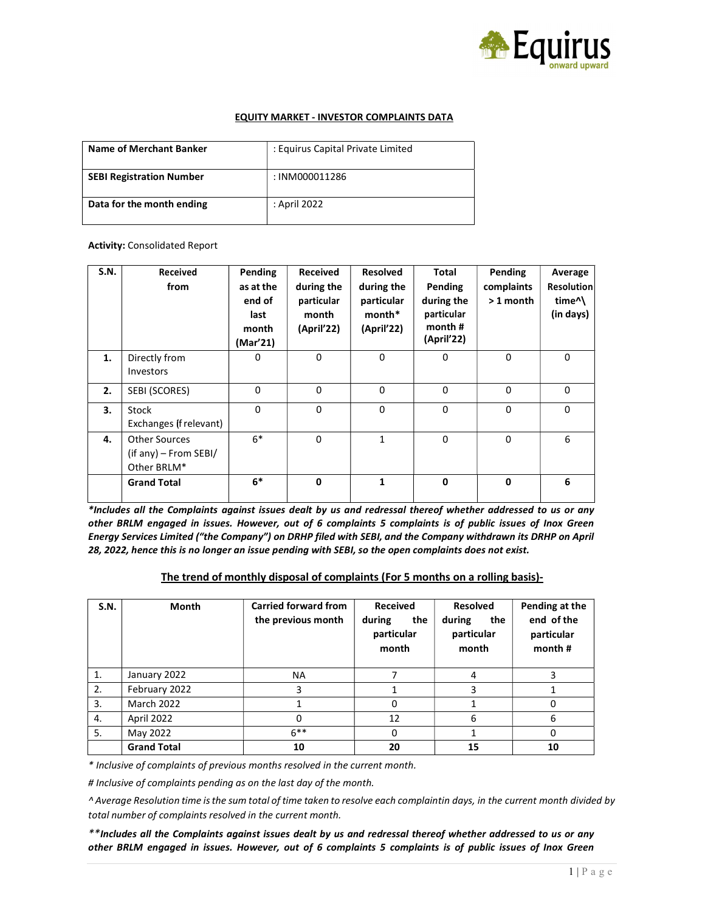

### EQUITY MARKET - INVESTOR COMPLAINTS DATA

| Name of Merchant Banker         | : Equirus Capital Private Limited |
|---------------------------------|-----------------------------------|
| <b>SEBI Registration Number</b> | : INM000011286                    |
| Data for the month ending       | : April 2022                      |

#### Activity: Consolidated Report

| <b>S.N.</b> | Received<br>from                                        | Pending<br>as at the<br>end of<br>last<br>month<br>(Mar'21) | Received<br>during the<br>particular<br>month<br>(April'22) | <b>Resolved</b><br>during the<br>particular<br>month*<br>(April'22) | Total<br>Pending<br>during the<br>particular<br>month #<br>(April'22) | Pending<br>complaints<br>$>1$ month | Average<br><b>Resolution</b><br>time <sup>^</sup><br>(in days) |
|-------------|---------------------------------------------------------|-------------------------------------------------------------|-------------------------------------------------------------|---------------------------------------------------------------------|-----------------------------------------------------------------------|-------------------------------------|----------------------------------------------------------------|
| 1.          | Directly from<br>Investors                              | 0                                                           | 0                                                           | $\mathbf 0$                                                         | 0                                                                     | 0                                   | $\Omega$                                                       |
| 2.          | SEBI (SCORES)                                           | $\mathbf{0}$                                                | $\Omega$                                                    | $\Omega$                                                            | $\Omega$                                                              | $\Omega$                            | $\mathbf{0}$                                                   |
| 3.          | Stock<br>Exchanges (f relevant)                         | $\mathbf{0}$                                                | $\Omega$                                                    | $\Omega$                                                            | $\Omega$                                                              | $\Omega$                            | $\Omega$                                                       |
| 4.          | Other Sources<br>$(if any)$ – From SEBI/<br>Other BRLM* | $6*$                                                        | 0                                                           | 1                                                                   | $\mathbf 0$                                                           | $\mathbf 0$                         | 6                                                              |
|             | <b>Grand Total</b>                                      | $6*$                                                        | 0                                                           | 1                                                                   | $\mathbf 0$                                                           | $\mathbf 0$                         | 6                                                              |

\*Includes all the Complaints against issues dealt by us and redressal thereof whether addressed to us or any other BRLM engaged in issues. However, out of 6 complaints 5 complaints is of public issues of Inox Green Energy Services Limited ("the Company") on DRHP filed with SEBI, and the Company withdrawn its DRHP on April 28, 2022, hence this is no longer an issue pending with SEBI, so the open complaints does not exist.

#### The trend of monthly disposal of complaints (For 5 months on a rolling basis)-

| S.N.           | Month              | <b>Carried forward from</b><br>the previous month | <b>Received</b><br>during<br>the<br>particular<br>month | <b>Resolved</b><br>during<br>the<br>particular<br>month | Pending at the<br>end of the<br>particular<br>month # |
|----------------|--------------------|---------------------------------------------------|---------------------------------------------------------|---------------------------------------------------------|-------------------------------------------------------|
| $\mathbf{1}$ . | January 2022       | <b>NA</b>                                         |                                                         | 4                                                       | 3                                                     |
| 2.             | February 2022      | 3                                                 |                                                         | 3                                                       |                                                       |
| 3.             | <b>March 2022</b>  |                                                   | 0                                                       |                                                         | 0                                                     |
| 4.             | April 2022         | 0                                                 | 12                                                      | 6                                                       | 6                                                     |
| 5.             | May 2022           | $6***$                                            | 0                                                       |                                                         | 0                                                     |
|                | <b>Grand Total</b> | 10                                                | 20                                                      | 15                                                      | 10                                                    |

\* Inclusive of complaints of previous months resolved in the current month.

# Inclusive of complaints pending as on the last day of the month.

^ Average Resolution time is the sum total of time taken to resolve each complaint in days, in the current month divided by total number of complaints resolved in the current month.

\*\*Includes all the Complaints against issues dealt by us and redressal thereof whether addressed to us or any other BRLM engaged in issues. However, out of 6 complaints 5 complaints is of public issues of Inox Green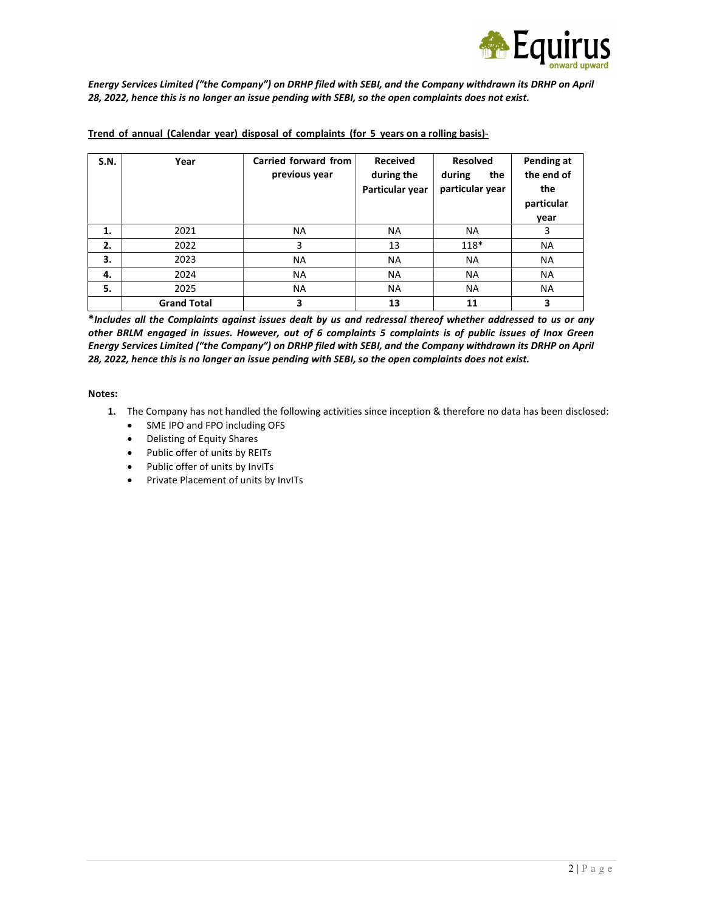

Energy Services Limited ("the Company") on DRHP filed with SEBI, and the Company withdrawn its DRHP on April 28, 2022, hence this is no longer an issue pending with SEBI, so the open complaints does not exist.

| S.N. | Year               | Carried forward from<br>previous year | <b>Received</b><br>during the<br>Particular year | <b>Resolved</b><br>during<br>the<br>particular year | Pending at<br>the end of<br>the<br>particular<br>year |
|------|--------------------|---------------------------------------|--------------------------------------------------|-----------------------------------------------------|-------------------------------------------------------|
| 1.   | 2021               | <b>NA</b>                             | <b>NA</b>                                        | NA                                                  | 3                                                     |
| 2.   | 2022               | 3                                     | 13                                               | $118*$                                              | <b>NA</b>                                             |
| 3.   | 2023               | <b>NA</b>                             | <b>NA</b>                                        | <b>NA</b>                                           | <b>NA</b>                                             |
| 4.   | 2024               | <b>NA</b>                             | <b>NA</b>                                        | <b>NA</b>                                           | <b>NA</b>                                             |
| 5.   | 2025               | <b>NA</b>                             | <b>NA</b>                                        | <b>NA</b>                                           | <b>NA</b>                                             |
|      | <b>Grand Total</b> | 3                                     | 13                                               | 11                                                  | 3                                                     |

#### Trend of annual (Calendar year) disposal of complaints (for 5 years on a rolling basis)-

\*Includes all the Complaints against issues dealt by us and redressal thereof whether addressed to us or any other BRLM engaged in issues. However, out of 6 complaints 5 complaints is of public issues of Inox Green Energy Services Limited ("the Company") on DRHP filed with SEBI, and the Company withdrawn its DRHP on April 28, 2022, hence this is no longer an issue pending with SEBI, so the open complaints does not exist.

Notes:

- 1. The Company has not handled the following activities since inception & therefore no data has been disclosed:
	- SME IPO and FPO including OFS
	- Delisting of Equity Shares
	- Public offer of units by REITs
	- Public offer of units by InvITs
	- Private Placement of units by InvITs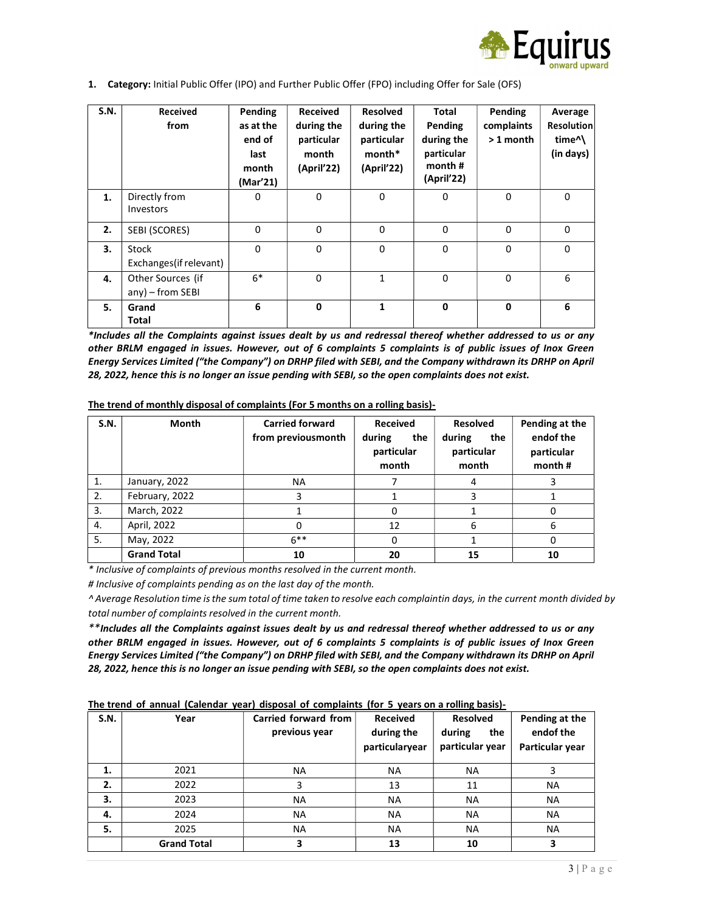

1. Category: Initial Public Offer (IPO) and Further Public Offer (FPO) including Offer for Sale (OFS)

| <b>S.N.</b> | Received<br>from                         | Pending<br>as at the<br>end of<br>last<br>month<br>(Mar'21) | Received<br>during the<br>particular<br>month<br>(April'22) | Resolved<br>during the<br>particular<br>month*<br>(April'22) | <b>Total</b><br>Pending<br>during the<br>particular<br>month#<br>(April'22) | Pending<br>complaints<br>$>1$ month | Average<br><b>Resolution</b><br>time <sup>^</sup><br>(in days) |
|-------------|------------------------------------------|-------------------------------------------------------------|-------------------------------------------------------------|--------------------------------------------------------------|-----------------------------------------------------------------------------|-------------------------------------|----------------------------------------------------------------|
| 1.          | Directly from<br>Investors               | 0                                                           | $\Omega$                                                    | $\Omega$                                                     | $\Omega$                                                                    | $\Omega$                            | $\mathbf{0}$                                                   |
| 2.          | SEBI (SCORES)                            | 0                                                           | 0                                                           | 0                                                            | $\Omega$                                                                    | $\Omega$                            | $\mathbf{0}$                                                   |
| 3.          | Stock<br>Exchanges(if relevant)          | $\mathbf 0$                                                 | $\Omega$                                                    | $\Omega$                                                     | $\Omega$                                                                    | $\Omega$                            | $\mathbf 0$                                                    |
| 4.          | Other Sources (if<br>$any$ ) – from SEBI | $6*$                                                        | 0                                                           | $\mathbf{1}$                                                 | $\Omega$                                                                    | $\Omega$                            | 6                                                              |
| 5.          | Grand<br>Total                           | 6                                                           | $\mathbf 0$                                                 | 1                                                            | $\mathbf 0$                                                                 | $\mathbf 0$                         | 6                                                              |

\*Includes all the Complaints against issues dealt by us and redressal thereof whether addressed to us or any other BRLM engaged in issues. However, out of 6 complaints 5 complaints is of public issues of Inox Green Energy Services Limited ("the Company") on DRHP filed with SEBI, and the Company withdrawn its DRHP on April 28, 2022, hence this is no longer an issue pending with SEBI, so the open complaints does not exist.

| S.N.           | Month              | <b>Carried forward</b><br>from previousmonth | <b>Received</b><br>during<br>the<br>particular<br>month | <b>Resolved</b><br>the<br>during<br>particular<br>month | Pending at the<br>endof the<br>particular<br>month # |
|----------------|--------------------|----------------------------------------------|---------------------------------------------------------|---------------------------------------------------------|------------------------------------------------------|
| $\mathbf{1}$ . | January, 2022      | <b>NA</b>                                    |                                                         | 4                                                       |                                                      |
| 2.             | February, 2022     | 3                                            |                                                         | 3                                                       |                                                      |
| 3.             | March, 2022        |                                              | 0                                                       |                                                         | 0                                                    |
| 4.             | April, 2022        | 0                                            | 12                                                      | 6                                                       | 6                                                    |
| 5.             | May, 2022          | $6***$                                       | 0                                                       |                                                         | 0                                                    |
|                | <b>Grand Total</b> | 10                                           | 20                                                      | 15                                                      | 10                                                   |

The trend of monthly disposal of complaints (For 5 months on a rolling basis)-

\* Inclusive of complaints of previous months resolved in the current month.

# Inclusive of complaints pending as on the last day of the month.

^ Average Resolution time is the sum total of time taken to resolve each complaint in days, in the current month divided by total number of complaints resolved in the current month.

\*\*Includes all the Complaints against issues dealt by us and redressal thereof whether addressed to us or any other BRLM engaged in issues. However, out of 6 complaints 5 complaints is of public issues of Inox Green Energy Services Limited ("the Company") on DRHP filed with SEBI, and the Company withdrawn its DRHP on April 28, 2022, hence this is no longer an issue pending with SEBI, so the open complaints does not exist.

|  |  | The trend of annual (Calendar year) disposal of complaints (for 5 years on a rolling basis)- |
|--|--|----------------------------------------------------------------------------------------------|
|  |  |                                                                                              |
|  |  |                                                                                              |

| S.N. | Year               | Carried forward from<br>previous year | <b>Received</b><br>during the<br>particularyear | <b>Resolved</b><br>during<br>the<br>particular year | Pending at the<br>endof the<br>Particular year |
|------|--------------------|---------------------------------------|-------------------------------------------------|-----------------------------------------------------|------------------------------------------------|
| 1.   | 2021               | <b>NA</b>                             | <b>NA</b>                                       | <b>NA</b>                                           | 3                                              |
| 2.   | 2022               | 3                                     | 13                                              | 11                                                  | <b>NA</b>                                      |
| 3.   | 2023               | <b>NA</b>                             | <b>NA</b>                                       | <b>NA</b>                                           | <b>NA</b>                                      |
| 4.   | 2024               | <b>NA</b>                             | <b>NA</b>                                       | <b>NA</b>                                           | <b>NA</b>                                      |
| 5.   | 2025               | <b>NA</b>                             | <b>NA</b>                                       | <b>NA</b>                                           | <b>NA</b>                                      |
|      | <b>Grand Total</b> | 3                                     | 13                                              | 10                                                  | 3                                              |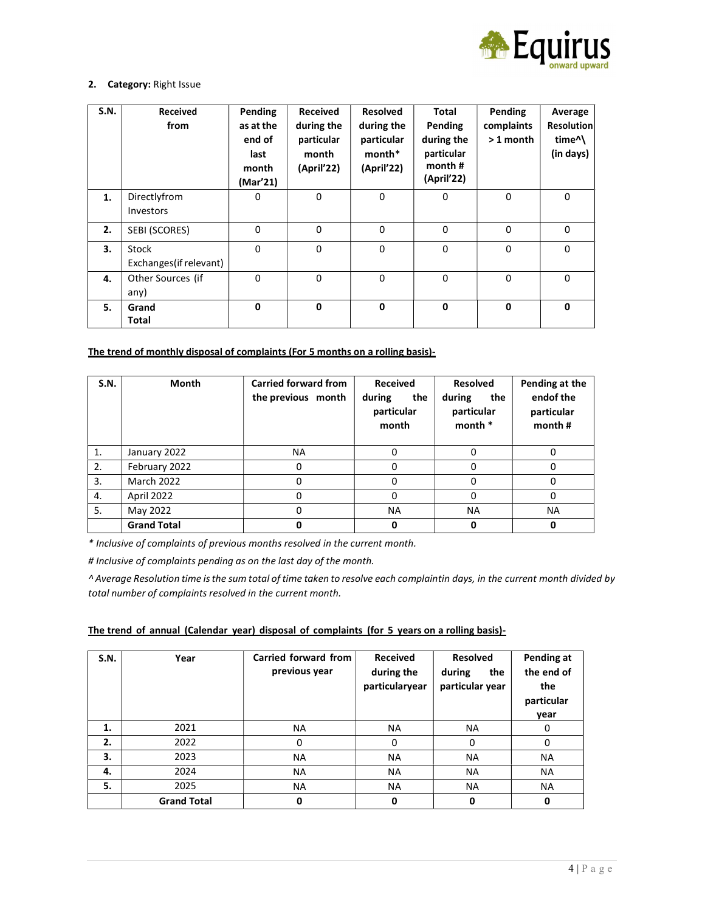

### 2. Category: Right Issue

| S.N. | Received<br>from                 | Pending<br>as at the<br>end of<br>last<br>month<br>(Mar'21) | Received<br>during the<br>particular<br>month<br>(April'22) | <b>Resolved</b><br>during the<br>particular<br>month*<br>(April'22) | <b>Total</b><br>Pending<br>during the<br>particular<br>month#<br>(April'22) | Pending<br>complaints<br>$>1$ month | Average<br><b>Resolution</b><br>time <sup>^</sup><br>(in days) |
|------|----------------------------------|-------------------------------------------------------------|-------------------------------------------------------------|---------------------------------------------------------------------|-----------------------------------------------------------------------------|-------------------------------------|----------------------------------------------------------------|
| 1.   | Directlyfrom<br>Investors        | 0                                                           | 0                                                           | 0                                                                   | $\mathbf 0$                                                                 | $\mathbf 0$                         | $\mathbf 0$                                                    |
| 2.   | SEBI (SCORES)                    | 0                                                           | 0                                                           | $\Omega$                                                            | $\mathbf 0$                                                                 | 0                                   | $\Omega$                                                       |
| 3.   | Stock<br>Exchanges (if relevant) | 0                                                           | 0                                                           | $\Omega$                                                            | $\mathbf 0$                                                                 | 0                                   | $\Omega$                                                       |
| 4.   | Other Sources (if<br>any)        | $\Omega$                                                    | $\Omega$                                                    | $\Omega$                                                            | $\mathbf{0}$                                                                | $\Omega$                            | $\Omega$                                                       |
| 5.   | Grand<br><b>Total</b>            | 0                                                           | $\mathbf{0}$                                                | $\mathbf{0}$                                                        | $\mathbf{0}$                                                                | $\mathbf{0}$                        | $\mathbf{0}$                                                   |

# The trend of monthly disposal of complaints (For 5 months on a rolling basis)-

| S.N.           | <b>Month</b>       | <b>Carried forward from</b><br>the previous month | <b>Received</b><br>during<br>the<br>particular<br>month | <b>Resolved</b><br>during<br>the<br>particular<br>month * | Pending at the<br>endof the<br>particular<br>month # |
|----------------|--------------------|---------------------------------------------------|---------------------------------------------------------|-----------------------------------------------------------|------------------------------------------------------|
| $\mathbf{1}$ . | January 2022       | <b>NA</b>                                         | 0                                                       | O                                                         | 0                                                    |
| 2.             | February 2022      | 0                                                 | o                                                       | $\Omega$                                                  | 0                                                    |
| 3.             | <b>March 2022</b>  |                                                   |                                                         |                                                           | 0                                                    |
| 4.             | April 2022         | 0                                                 | 0                                                       | $\Omega$                                                  | 0                                                    |
| 5.             | May 2022           | 0                                                 | <b>NA</b>                                               | <b>NA</b>                                                 | <b>NA</b>                                            |
|                | <b>Grand Total</b> | 0                                                 | 0                                                       | 0                                                         | 0                                                    |

\* Inclusive of complaints of previous months resolved in the current month.

# Inclusive of complaints pending as on the last day of the month.

^ Average Resolution time is the sum total of time taken to resolve each complaint in days, in the current month divided by total number of complaints resolved in the current month.

### The trend of annual (Calendar year) disposal of complaints (for 5 years on a rolling basis)-

| S.N. | Year               | Carried forward from<br>previous year | <b>Received</b><br>during the<br>particularyear | <b>Resolved</b><br>the<br>during<br>particular year | Pending at<br>the end of<br>the<br>particular<br>year |
|------|--------------------|---------------------------------------|-------------------------------------------------|-----------------------------------------------------|-------------------------------------------------------|
| 1.   | 2021               | NA.                                   | NA.                                             | NA.                                                 | 0                                                     |
| 2.   | 2022               | 0                                     | 0                                               | 0                                                   | $\Omega$                                              |
| 3.   | 2023               | <b>NA</b>                             | <b>NA</b>                                       | <b>NA</b>                                           | <b>NA</b>                                             |
| 4.   | 2024               | <b>NA</b>                             | <b>NA</b>                                       | <b>NA</b>                                           | <b>NA</b>                                             |
| 5.   | 2025               | <b>NA</b>                             | <b>NA</b>                                       | <b>NA</b>                                           | <b>NA</b>                                             |
|      | <b>Grand Total</b> | 0                                     | 0                                               | 0                                                   | 0                                                     |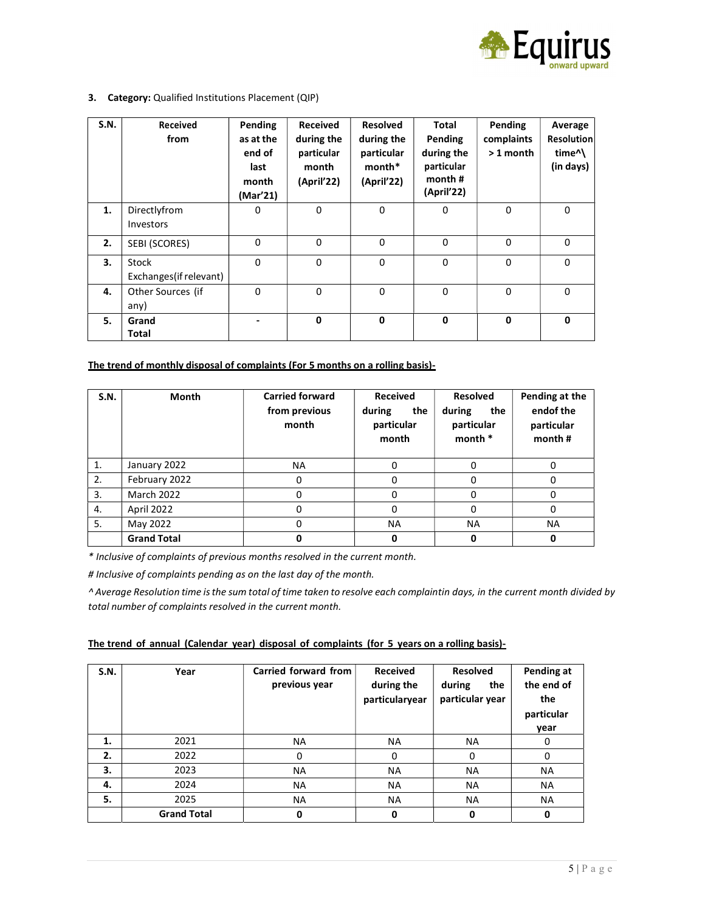

#### 3. Category: Qualified Institutions Placement (QIP)

| S.N. | Received<br>from                 | Pending<br>as at the<br>end of<br>last<br>month<br>(Mar'21) | Received<br>during the<br>particular<br>month<br>(April'22) | <b>Resolved</b><br>during the<br>particular<br>month*<br>(April'22) | <b>Total</b><br>Pending<br>during the<br>particular<br>month #<br>(April'22) | Pending<br>complaints<br>$>1$ month | Average<br><b>Resolution</b><br>time <sup>^</sup><br>(in days) |
|------|----------------------------------|-------------------------------------------------------------|-------------------------------------------------------------|---------------------------------------------------------------------|------------------------------------------------------------------------------|-------------------------------------|----------------------------------------------------------------|
| 1.   | Directlyfrom<br>Investors        | 0                                                           | 0                                                           | 0                                                                   | $\mathbf 0$                                                                  | $\mathbf 0$                         | $\mathbf 0$                                                    |
| 2.   | SEBI (SCORES)                    | $\mathbf 0$                                                 | $\Omega$                                                    | $\Omega$                                                            | $\Omega$                                                                     | $\Omega$                            | $\Omega$                                                       |
| 3.   | Stock<br>Exchanges (if relevant) | $\mathbf{0}$                                                | $\Omega$                                                    | $\Omega$                                                            | $\Omega$                                                                     | $\Omega$                            | $\Omega$                                                       |
| 4.   | Other Sources (if<br>any)        | $\mathbf 0$                                                 | 0                                                           | $\mathbf{0}$                                                        | $\Omega$                                                                     | $\Omega$                            | $\mathbf 0$                                                    |
| 5.   | Grand<br>Total                   |                                                             | $\mathbf{0}$                                                | $\mathbf{0}$                                                        | $\mathbf 0$                                                                  | $\mathbf 0$                         | $\mathbf{0}$                                                   |

### The trend of monthly disposal of complaints (For 5 months on a rolling basis)-

| S.N.           | Month              | <b>Carried forward</b><br>from previous<br>month | Received<br>the<br>during<br>particular<br>month | <b>Resolved</b><br>the<br>during<br>particular<br>month * | Pending at the<br>endof the<br>particular<br>month # |
|----------------|--------------------|--------------------------------------------------|--------------------------------------------------|-----------------------------------------------------------|------------------------------------------------------|
| $\mathbf{1}$ . | January 2022       | <b>NA</b>                                        | 0                                                | 0                                                         | 0                                                    |
| 2.             | February 2022      | o                                                | 0                                                | 0                                                         | 0                                                    |
| 3.             | <b>March 2022</b>  | ი                                                | 0                                                | 0                                                         | 0                                                    |
| 4.             | April 2022         | ი                                                | 0                                                | 0                                                         | 0                                                    |
| 5.             | May 2022           | 0                                                | <b>NA</b>                                        | <b>NA</b>                                                 | <b>NA</b>                                            |
|                | <b>Grand Total</b> |                                                  | 0                                                | 0                                                         | 0                                                    |

\* Inclusive of complaints of previous months resolved in the current month.

# Inclusive of complaints pending as on the last day of the month.

^ Average Resolution time is the sum total of time taken to resolve each complaint in days, in the current month divided by total number of complaints resolved in the current month.

|  |  |  |  | The trend of annual (Calendar year) disposal of complaints (for 5 years on a rolling basis)- |
|--|--|--|--|----------------------------------------------------------------------------------------------|
|  |  |  |  |                                                                                              |

| S.N. | Year               | Carried forward from<br>previous year | <b>Received</b><br>during the<br>particularyear | <b>Resolved</b><br>during<br>the<br>particular year | Pending at<br>the end of<br>the<br>particular<br>year |
|------|--------------------|---------------------------------------|-------------------------------------------------|-----------------------------------------------------|-------------------------------------------------------|
| 1.   | 2021               | <b>NA</b>                             | <b>NA</b>                                       | <b>NA</b>                                           | 0                                                     |
| 2.   | 2022               | 0                                     | 0                                               | $\Omega$                                            | 0                                                     |
| 3.   | 2023               | NA.                                   | <b>NA</b>                                       | NA.                                                 | NA.                                                   |
| 4.   | 2024               | <b>NA</b>                             | <b>NA</b>                                       | <b>NA</b>                                           | <b>NA</b>                                             |
| 5.   | 2025               | <b>NA</b>                             | <b>NA</b>                                       | <b>NA</b>                                           | <b>NA</b>                                             |
|      | <b>Grand Total</b> | 0                                     | 0                                               | 0                                                   | 0                                                     |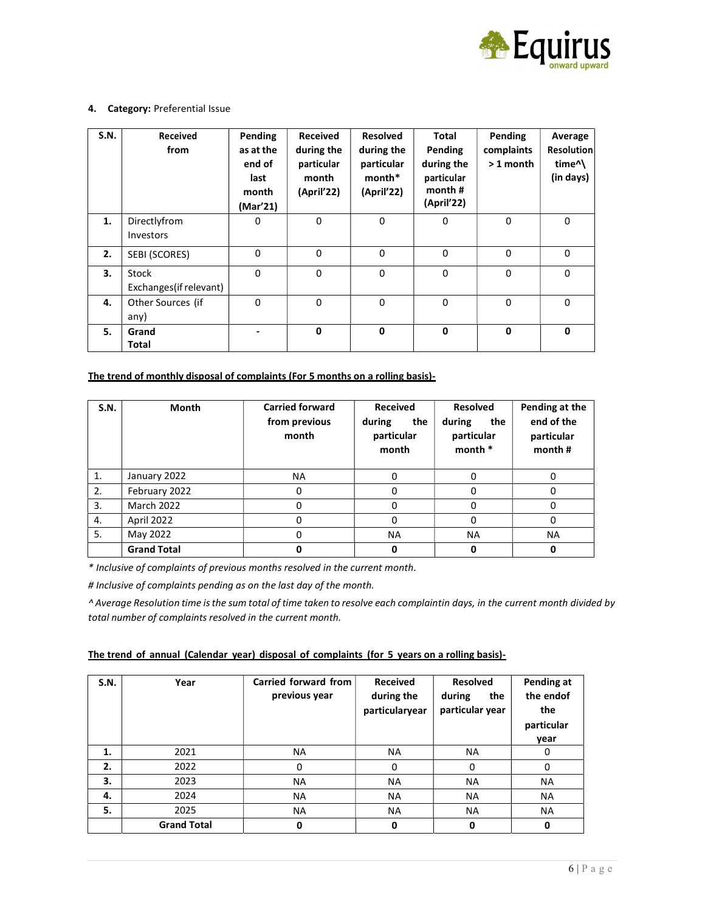

### 4. Category: Preferential Issue

| S.N. | Received<br>from                 | Pending<br>as at the<br>end of<br>last<br>month<br>(Mar'21) | Received<br>during the<br>particular<br>month<br>(April'22) | <b>Resolved</b><br>during the<br>particular<br>month*<br>(April'22) | <b>Total</b><br>Pending<br>during the<br>particular<br>month#<br>(April'22) | Pending<br>complaints<br>$>1$ month | Average<br><b>Resolution</b><br>time <sup>^</sup><br>(in days) |
|------|----------------------------------|-------------------------------------------------------------|-------------------------------------------------------------|---------------------------------------------------------------------|-----------------------------------------------------------------------------|-------------------------------------|----------------------------------------------------------------|
| 1.   | Directlyfrom<br>Investors        | 0                                                           | $\Omega$                                                    | 0                                                                   | $\Omega$                                                                    | $\mathbf 0$                         | $\mathbf 0$                                                    |
| 2.   | SEBI (SCORES)                    | 0                                                           | $\Omega$                                                    | $\Omega$                                                            | $\Omega$                                                                    | $\Omega$                            | $\Omega$                                                       |
| 3.   | Stock<br>Exchanges (if relevant) | $\Omega$                                                    | $\Omega$                                                    | $\Omega$                                                            | $\Omega$                                                                    | $\Omega$                            | $\Omega$                                                       |
| 4.   | Other Sources (if<br>any)        | 0                                                           | $\Omega$                                                    | $\Omega$                                                            | $\Omega$                                                                    | $\Omega$                            | $\Omega$                                                       |
| 5.   | Grand<br>Total                   |                                                             | $\mathbf 0$                                                 | $\mathbf 0$                                                         | $\mathbf 0$                                                                 | $\mathbf 0$                         | $\mathbf 0$                                                    |

## The trend of monthly disposal of complaints (For 5 months on a rolling basis)-

| S.N.           | <b>Month</b>       | <b>Carried forward</b><br>from previous<br>month | <b>Received</b><br>the<br>during<br>particular<br>month | <b>Resolved</b><br>the<br>during<br>particular<br>month * | Pending at the<br>end of the<br>particular<br>month # |
|----------------|--------------------|--------------------------------------------------|---------------------------------------------------------|-----------------------------------------------------------|-------------------------------------------------------|
| $\mathbf{1}$ . | January 2022       | ΝA                                               |                                                         |                                                           | 0                                                     |
| 2.             | February 2022      | 0                                                | 0                                                       | $\Omega$                                                  | 0                                                     |
| 3.             | <b>March 2022</b>  | ი                                                |                                                         |                                                           | 0                                                     |
| 4.             | April 2022         | 0                                                |                                                         | $\Omega$                                                  | 0                                                     |
| 5.             | May 2022           | 0                                                | <b>NA</b>                                               | <b>NA</b>                                                 | <b>NA</b>                                             |
|                | <b>Grand Total</b> | 0                                                | 0                                                       | 0                                                         | 0                                                     |

\* Inclusive of complaints of previous months resolved in the current month.

# Inclusive of complaints pending as on the last day of the month.

^ Average Resolution time is the sum total of time taken to resolve each complaint in days, in the current month divided by total number of complaints resolved in the current month.

| The trend of annual (Calendar year) disposal of complaints (for 5 years on a rolling basis)- |  |  |  |  |  |  |  |
|----------------------------------------------------------------------------------------------|--|--|--|--|--|--|--|
|                                                                                              |  |  |  |  |  |  |  |

| S.N. | Year               | Carried forward from<br>previous year | <b>Received</b><br>during the<br>particularyear | <b>Resolved</b><br>during<br>the<br>particular year | Pending at<br>the endof<br>the<br>particular<br>year |
|------|--------------------|---------------------------------------|-------------------------------------------------|-----------------------------------------------------|------------------------------------------------------|
| 1.   | 2021               | <b>NA</b>                             | <b>NA</b>                                       | <b>NA</b>                                           | 0                                                    |
| 2.   | 2022               | 0                                     | 0                                               | $\Omega$                                            | 0                                                    |
| 3.   | 2023               | <b>NA</b>                             | <b>NA</b>                                       | <b>NA</b>                                           | NA.                                                  |
| 4.   | 2024               | <b>NA</b>                             | <b>NA</b>                                       | <b>NA</b>                                           | <b>NA</b>                                            |
| 5.   | 2025               | <b>NA</b>                             | <b>NA</b>                                       | <b>NA</b>                                           | <b>NA</b>                                            |
|      | <b>Grand Total</b> | 0                                     | 0                                               | 0                                                   | 0                                                    |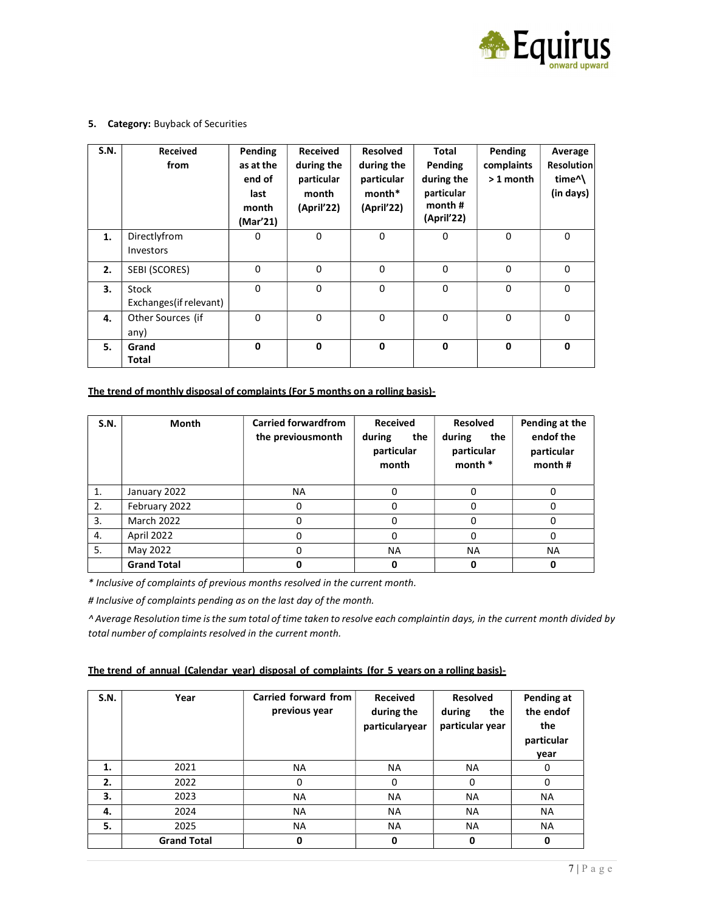

#### 5. Category: Buyback of Securities

| S.N. | Received<br>from                 | Pending<br>as at the<br>end of<br>last<br>month<br>(Mar'21) | <b>Received</b><br>during the<br>particular<br>month<br>(April'22) | <b>Resolved</b><br>during the<br>particular<br>month*<br>(April'22) | Total<br>Pending<br>during the<br>particular<br>month $#$<br>(April'22) | Pending<br>complaints<br>$>1$ month | Average<br><b>Resolution</b><br>time <sup>^</sup><br>(in days) |
|------|----------------------------------|-------------------------------------------------------------|--------------------------------------------------------------------|---------------------------------------------------------------------|-------------------------------------------------------------------------|-------------------------------------|----------------------------------------------------------------|
| 1.   | Directlyfrom<br>Investors        | 0                                                           | 0                                                                  | 0                                                                   | $\mathbf 0$                                                             | $\mathbf 0$                         | $\mathbf 0$                                                    |
| 2.   | SEBI (SCORES)                    | $\mathbf 0$                                                 | $\Omega$                                                           | $\Omega$                                                            | $\Omega$                                                                | $\Omega$                            | $\mathbf 0$                                                    |
| 3.   | Stock<br>Exchanges (if relevant) | $\Omega$                                                    | 0                                                                  | $\Omega$                                                            | $\mathbf 0$                                                             | $\Omega$                            | $\Omega$                                                       |
| 4.   | Other Sources (if<br>any)        | $\Omega$                                                    | $\Omega$                                                           | $\mathbf{0}$                                                        | $\Omega$                                                                | $\Omega$                            | $\Omega$                                                       |
| 5.   | Grand<br><b>Total</b>            | $\mathbf{0}$                                                | 0                                                                  | $\mathbf 0$                                                         | $\mathbf 0$                                                             | $\mathbf 0$                         | $\mathbf{0}$                                                   |

#### The trend of monthly disposal of complaints (For 5 months on a rolling basis)-

| S.N. | Month              | <b>Carried forwardfrom</b><br>the previousmonth | <b>Received</b><br>during<br>the<br>particular<br>month | <b>Resolved</b><br>the<br>during<br>particular<br>month $*$ | Pending at the<br>endof the<br>particular<br>month # |
|------|--------------------|-------------------------------------------------|---------------------------------------------------------|-------------------------------------------------------------|------------------------------------------------------|
| 1.   | January 2022       | NA                                              |                                                         |                                                             | O                                                    |
| 2.   | February 2022      | 0                                               | 0                                                       | 0                                                           | 0                                                    |
| 3.   | <b>March 2022</b>  | 0                                               | 0                                                       | 0                                                           | 0                                                    |
| 4.   | April 2022         | 0                                               |                                                         | $\Omega$                                                    | 0                                                    |
| 5.   | May 2022           | 0                                               | <b>NA</b>                                               | <b>NA</b>                                                   | <b>NA</b>                                            |
|      | <b>Grand Total</b> | O                                               |                                                         | 0                                                           | 0                                                    |

\* Inclusive of complaints of previous months resolved in the current month.

# Inclusive of complaints pending as on the last day of the month.

^ Average Resolution time is the sum total of time taken to resolve each complaint in days, in the current month divided by total number of complaints resolved in the current month.

### The trend of annual (Calendar year) disposal of complaints (for 5 years on a rolling basis)-

| S.N. | Year               | Carried forward from<br>previous year | <b>Received</b><br>during the<br>particularyear | <b>Resolved</b><br>the<br>during<br>particular year | Pending at<br>the endof<br>the<br>particular<br>vear |
|------|--------------------|---------------------------------------|-------------------------------------------------|-----------------------------------------------------|------------------------------------------------------|
| 1.   | 2021               | <b>NA</b>                             | <b>NA</b>                                       | NA.                                                 | 0                                                    |
| 2.   | 2022               | 0                                     | 0                                               | 0                                                   | 0                                                    |
| 3.   | 2023               | <b>NA</b>                             | <b>NA</b>                                       | NA.                                                 | <b>NA</b>                                            |
| 4.   | 2024               | <b>NA</b>                             | <b>NA</b>                                       | <b>NA</b>                                           | <b>NA</b>                                            |
| 5.   | 2025               | <b>NA</b>                             | <b>NA</b>                                       | <b>NA</b>                                           | <b>NA</b>                                            |
|      | <b>Grand Total</b> | 0                                     | 0                                               | 0                                                   | O                                                    |